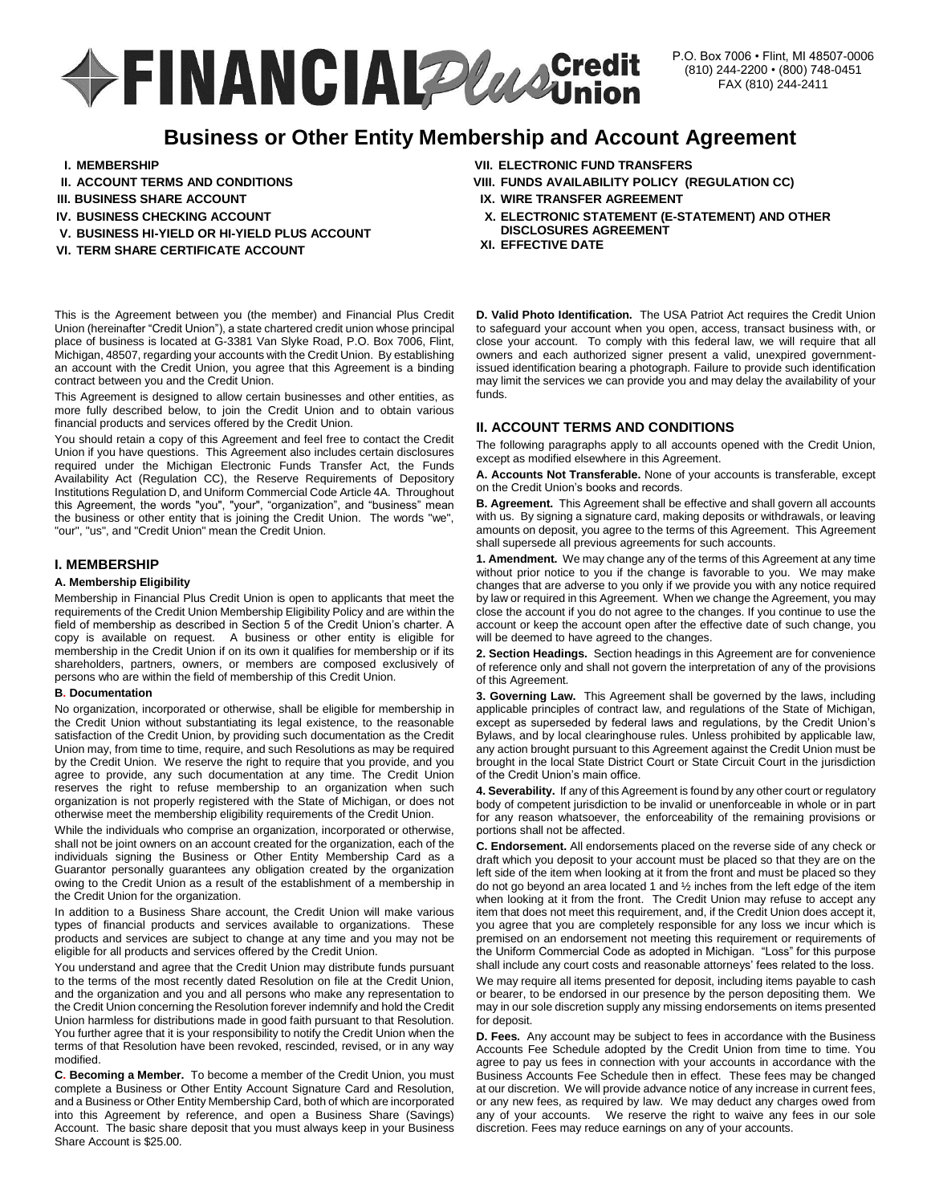# **+FINANCIAL Plane Credit**

# **Business or Other Entity Membership and Account Agreement**

- **I. MEMBERSHIP**
- **II. ACCOUNT TERMS AND CONDITIONS**
- **III. BUSINESS SHARE ACCOUNT**
- **IV. BUSINESS CHECKING ACCOUNT**
- **V. BUSINESS HI-YIELD OR HI-YIELD PLUS ACCOUNT**
- **VI. TERM SHARE CERTIFICATE ACCOUNT**

This is the Agreement between you (the member) and Financial Plus Credit Union (hereinafter "Credit Union"), a state chartered credit union whose principal place of business is located at G-3381 Van Slyke Road, P.O. Box 7006, Flint, Michigan, 48507, regarding your accounts with the Credit Union. By establishing an account with the Credit Union, you agree that this Agreement is a binding contract between you and the Credit Union.

This Agreement is designed to allow certain businesses and other entities, as more fully described below, to join the Credit Union and to obtain various financial products and services offered by the Credit Union.

You should retain a copy of this Agreement and feel free to contact the Credit Union if you have questions. This Agreement also includes certain disclosures required under the Michigan Electronic Funds Transfer Act, the Funds Availability Act (Regulation CC), the Reserve Requirements of Depository Institutions Regulation D, and Uniform Commercial Code Article 4A. Throughout this Agreement, the words "you", "your", "organization", and "business" mean the business or other entity that is joining the Credit Union. The words "we", "our", "us", and "Credit Union" mean the Credit Union.

# **I. MEMBERSHIP**

#### **A. Membership Eligibility**

Membership in Financial Plus Credit Union is open to applicants that meet the requirements of the Credit Union Membership Eligibility Policy and are within the field of membership as described in Section 5 of the Credit Union's charter. A copy is available on request. A business or other entity is eligible for membership in the Credit Union if on its own it qualifies for membership or if its shareholders, partners, owners, or members are composed exclusively of persons who are within the field of membership of this Credit Union.

#### **B. Documentation**

No organization, incorporated or otherwise, shall be eligible for membership in the Credit Union without substantiating its legal existence, to the reasonable satisfaction of the Credit Union, by providing such documentation as the Credit Union may, from time to time, require, and such Resolutions as may be required by the Credit Union. We reserve the right to require that you provide, and you agree to provide, any such documentation at any time. The Credit Union reserves the right to refuse membership to an organization when such organization is not properly registered with the State of Michigan, or does not otherwise meet the membership eligibility requirements of the Credit Union.

While the individuals who comprise an organization, incorporated or otherwise, shall not be joint owners on an account created for the organization, each of the individuals signing the Business or Other Entity Membership Card as a Guarantor personally guarantees any obligation created by the organization owing to the Credit Union as a result of the establishment of a membership in the Credit Union for the organization.

In addition to a Business Share account, the Credit Union will make various types of financial products and services available to organizations. These products and services are subject to change at any time and you may not be eligible for all products and services offered by the Credit Union.

You understand and agree that the Credit Union may distribute funds pursuant to the terms of the most recently dated Resolution on file at the Credit Union, and the organization and you and all persons who make any representation to the Credit Union concerning the Resolution forever indemnify and hold the Credit Union harmless for distributions made in good faith pursuant to that Resolution. You further agree that it is your responsibility to notify the Credit Union when the terms of that Resolution have been revoked, rescinded, revised, or in any way modified.

**C. Becoming a Member.** To become a member of the Credit Union, you must complete a Business or Other Entity Account Signature Card and Resolution, and a Business or Other Entity Membership Card, both of which are incorporated into this Agreement by reference, and open a Business Share (Savings) Account. The basic share deposit that you must always keep in your Business Share Account is \$25.00.

- **VII. ELECTRONIC FUND TRANSFERS**
- **VIII. FUNDS AVAILABILITY POLICY (REGULATION CC)**
- **IX. WIRE TRANSFER AGREEMENT**
- **X. ELECTRONIC STATEMENT (E-STATEMENT) AND OTHER DISCLOSURES AGREEMENT**
- **XI. EFFECTIVE DATE**

**D. Valid Photo Identification.** The USA Patriot Act requires the Credit Union to safeguard your account when you open, access, transact business with, or close your account. To comply with this federal law, we will require that all owners and each authorized signer present a valid, unexpired governmentissued identification bearing a photograph. Failure to provide such identification may limit the services we can provide you and may delay the availability of your funds.

# **II. ACCOUNT TERMS AND CONDITIONS**

The following paragraphs apply to all accounts opened with the Credit Union, except as modified elsewhere in this Agreement.

**A. Accounts Not Transferable.** None of your accounts is transferable, except on the Credit Union's books and records.

**B. Agreement.** This Agreement shall be effective and shall govern all accounts with us. By signing a signature card, making deposits or withdrawals, or leaving amounts on deposit, you agree to the terms of this Agreement. This Agreement shall supersede all previous agreements for such accounts.

**1. Amendment.** We may change any of the terms of this Agreement at any time without prior notice to you if the change is favorable to you. We may make changes that are adverse to you only if we provide you with any notice required by law or required in this Agreement. When we change the Agreement, you may close the account if you do not agree to the changes. If you continue to use the account or keep the account open after the effective date of such change, you will be deemed to have agreed to the changes.

**2. Section Headings.** Section headings in this Agreement are for convenience of reference only and shall not govern the interpretation of any of the provisions of this Agreement.

**3. Governing Law.** This Agreement shall be governed by the laws, including applicable principles of contract law, and regulations of the State of Michigan, except as superseded by federal laws and regulations, by the Credit Union's Bylaws, and by local clearinghouse rules. Unless prohibited by applicable law, any action brought pursuant to this Agreement against the Credit Union must be brought in the local State District Court or State Circuit Court in the jurisdiction of the Credit Union's main office.

**4. Severability.** If any of this Agreement is found by any other court or regulatory body of competent jurisdiction to be invalid or unenforceable in whole or in part for any reason whatsoever, the enforceability of the remaining provisions or portions shall not be affected.

**C. Endorsement.** All endorsements placed on the reverse side of any check or draft which you deposit to your account must be placed so that they are on the left side of the item when looking at it from the front and must be placed so they do not go beyond an area located 1 and ½ inches from the left edge of the item when looking at it from the front. The Credit Union may refuse to accept any item that does not meet this requirement, and, if the Credit Union does accept it, you agree that you are completely responsible for any loss we incur which is premised on an endorsement not meeting this requirement or requirements of the Uniform Commercial Code as adopted in Michigan. "Loss" for this purpose shall include any court costs and reasonable attorneys' fees related to the loss.

We may require all items presented for deposit, including items payable to cash or bearer, to be endorsed in our presence by the person depositing them. We may in our sole discretion supply any missing endorsements on items presented for deposit.

**D. Fees.** Any account may be subject to fees in accordance with the Business Accounts Fee Schedule adopted by the Credit Union from time to time. You agree to pay us fees in connection with your accounts in accordance with the Business Accounts Fee Schedule then in effect. These fees may be changed at our discretion. We will provide advance notice of any increase in current fees, or any new fees, as required by law. We may deduct any charges owed from any of your accounts. We reserve the right to waive any fees in our sole discretion. Fees may reduce earnings on any of your accounts.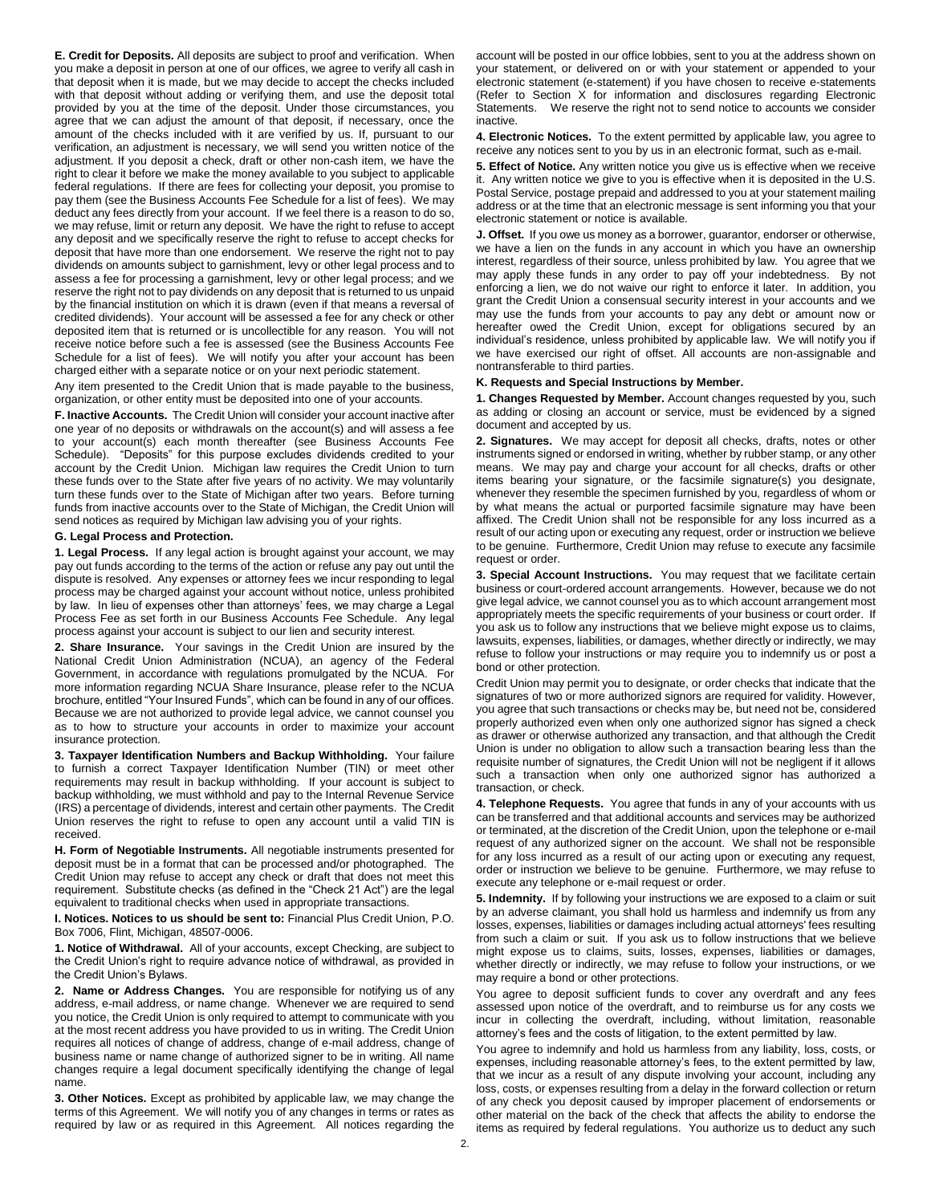**E. Credit for Deposits.** All deposits are subject to proof and verification. When you make a deposit in person at one of our offices, we agree to verify all cash in that deposit when it is made, but we may decide to accept the checks included with that deposit without adding or verifying them, and use the deposit total provided by you at the time of the deposit. Under those circumstances, you agree that we can adjust the amount of that deposit, if necessary, once the amount of the checks included with it are verified by us. If, pursuant to our verification, an adjustment is necessary, we will send you written notice of the adjustment. If you deposit a check, draft or other non-cash item, we have the right to clear it before we make the money available to you subject to applicable federal regulations. If there are fees for collecting your deposit, you promise to pay them (see the Business Accounts Fee Schedule for a list of fees). We may deduct any fees directly from your account. If we feel there is a reason to do so, we may refuse, limit or return any deposit. We have the right to refuse to accept any deposit and we specifically reserve the right to refuse to accept checks for deposit that have more than one endorsement. We reserve the right not to pay dividends on amounts subject to garnishment, levy or other legal process and to assess a fee for processing a garnishment, levy or other legal process; and we reserve the right not to pay dividends on any deposit that is returned to us unpaid by the financial institution on which it is drawn (even if that means a reversal of credited dividends). Your account will be assessed a fee for any check or other deposited item that is returned or is uncollectible for any reason. You will not receive notice before such a fee is assessed (see the Business Accounts Fee Schedule for a list of fees). We will notify you after your account has been charged either with a separate notice or on your next periodic statement.

Any item presented to the Credit Union that is made payable to the business, organization, or other entity must be deposited into one of your accounts.

**F. Inactive Accounts.** The Credit Union will consider your account inactive after one year of no deposits or withdrawals on the account(s) and will assess a fee to your account(s) each month thereafter (see Business Accounts Fee Schedule). "Deposits" for this purpose excludes dividends credited to your account by the Credit Union. Michigan law requires the Credit Union to turn these funds over to the State after five years of no activity. We may voluntarily turn these funds over to the State of Michigan after two years. Before turning funds from inactive accounts over to the State of Michigan, the Credit Union will send notices as required by Michigan law advising you of your rights.

#### **G. Legal Process and Protection.**

**1. Legal Process.** If any legal action is brought against your account, we may pay out funds according to the terms of the action or refuse any pay out until the dispute is resolved. Any expenses or attorney fees we incur responding to legal process may be charged against your account without notice, unless prohibited by law. In lieu of expenses other than attorneys' fees, we may charge a Legal Process Fee as set forth in our Business Accounts Fee Schedule. Any legal process against your account is subject to our lien and security interest.

**2. Share Insurance.** Your savings in the Credit Union are insured by the National Credit Union Administration (NCUA), an agency of the Federal Government, in accordance with regulations promulgated by the NCUA. For more information regarding NCUA Share Insurance, please refer to the NCUA brochure, entitled "Your Insured Funds", which can be found in any of our offices. Because we are not authorized to provide legal advice, we cannot counsel you as to how to structure your accounts in order to maximize your account insurance protection.

**3. Taxpayer Identification Numbers and Backup Withholding.** Your failure to furnish a correct Taxpayer Identification Number (TIN) or meet other requirements may result in backup withholding. If your account is subject to backup withholding, we must withhold and pay to the Internal Revenue Service (IRS) a percentage of dividends, interest and certain other payments. The Credit Union reserves the right to refuse to open any account until a valid TIN is received.

**H. Form of Negotiable Instruments.** All negotiable instruments presented for deposit must be in a format that can be processed and/or photographed. The Credit Union may refuse to accept any check or draft that does not meet this requirement. Substitute checks (as defined in the "Check 21 Act") are the legal equivalent to traditional checks when used in appropriate transactions.

**I. Notices. Notices to us should be sent to:** Financial Plus Credit Union, P.O. Box 7006, Flint, Michigan, 48507-0006.

**1. Notice of Withdrawal.** All of your accounts, except Checking, are subject to the Credit Union's right to require advance notice of withdrawal, as provided in the Credit Union's Bylaws.

**2. Name or Address Changes.** You are responsible for notifying us of any address, e-mail address, or name change. Whenever we are required to send you notice, the Credit Union is only required to attempt to communicate with you at the most recent address you have provided to us in writing. The Credit Union requires all notices of change of address, change of e-mail address, change of business name or name change of authorized signer to be in writing. All name changes require a legal document specifically identifying the change of legal name.

**3. Other Notices.** Except as prohibited by applicable law, we may change the terms of this Agreement. We will notify you of any changes in terms or rates as required by law or as required in this Agreement. All notices regarding the account will be posted in our office lobbies, sent to you at the address shown on your statement, or delivered on or with your statement or appended to your electronic statement (e-statement) if you have chosen to receive e-statements (Refer to Section X for information and disclosures regarding Electronic Statements. We reserve the right not to send notice to accounts we consider inactive.

**4. Electronic Notices.** To the extent permitted by applicable law, you agree to receive any notices sent to you by us in an electronic format, such as e-mail.

**5. Effect of Notice.** Any written notice you give us is effective when we receive it. Any written notice we give to you is effective when it is deposited in the U.S. Postal Service, postage prepaid and addressed to you at your statement mailing address or at the time that an electronic message is sent informing you that your electronic statement or notice is available.

**J. Offset.** If you owe us money as a borrower, guarantor, endorser or otherwise, we have a lien on the funds in any account in which you have an ownership interest, regardless of their source, unless prohibited by law. You agree that we may apply these funds in any order to pay off your indebtedness. By not enforcing a lien, we do not waive our right to enforce it later. In addition, you grant the Credit Union a consensual security interest in your accounts and we may use the funds from your accounts to pay any debt or amount now or hereafter owed the Credit Union, except for obligations secured by an individual's residence, unless prohibited by applicable law. We will notify you if we have exercised our right of offset. All accounts are non-assignable and nontransferable to third parties.

#### **K. Requests and Special Instructions by Member.**

**1. Changes Requested by Member.** Account changes requested by you, such as adding or closing an account or service, must be evidenced by a signed document and accepted by us.

**2. Signatures.** We may accept for deposit all checks, drafts, notes or other instruments signed or endorsed in writing, whether by rubber stamp, or any other means. We may pay and charge your account for all checks, drafts or other items bearing your signature, or the facsimile signature(s) you designate, whenever they resemble the specimen furnished by you, regardless of whom or by what means the actual or purported facsimile signature may have been affixed. The Credit Union shall not be responsible for any loss incurred as a result of our acting upon or executing any request, order or instruction we believe to be genuine. Furthermore, Credit Union may refuse to execute any facsimile request or order.

**3. Special Account Instructions.** You may request that we facilitate certain business or court-ordered account arrangements. However, because we do not give legal advice, we cannot counsel you as to which account arrangement most appropriately meets the specific requirements of your business or court order. If you ask us to follow any instructions that we believe might expose us to claims, lawsuits, expenses, liabilities, or damages, whether directly or indirectly, we may refuse to follow your instructions or may require you to indemnify us or post a bond or other protection.

Credit Union may permit you to designate, or order checks that indicate that the signatures of two or more authorized signors are required for validity. However, you agree that such transactions or checks may be, but need not be, considered properly authorized even when only one authorized signor has signed a check as drawer or otherwise authorized any transaction, and that although the Credit Union is under no obligation to allow such a transaction bearing less than the requisite number of signatures, the Credit Union will not be negligent if it allows such a transaction when only one authorized signor has authorized a transaction, or check.

**4. Telephone Requests.** You agree that funds in any of your accounts with us can be transferred and that additional accounts and services may be authorized or terminated, at the discretion of the Credit Union, upon the telephone or e-mail request of any authorized signer on the account. We shall not be responsible for any loss incurred as a result of our acting upon or executing any request, order or instruction we believe to be genuine. Furthermore, we may refuse to execute any telephone or e-mail request or order.

**5. Indemnity.** If by following your instructions we are exposed to a claim or suit by an adverse claimant, you shall hold us harmless and indemnify us from any losses, expenses, liabilities or damages including actual attorneys' fees resulting from such a claim or suit. If you ask us to follow instructions that we believe might expose us to claims, suits, losses, expenses, liabilities or damages, whether directly or indirectly, we may refuse to follow your instructions, or we may require a bond or other protections.

You agree to deposit sufficient funds to cover any overdraft and any fees assessed upon notice of the overdraft, and to reimburse us for any costs we incur in collecting the overdraft, including, without limitation, reasonable attorney's fees and the costs of litigation, to the extent permitted by law.

You agree to indemnify and hold us harmless from any liability, loss, costs, or expenses, including reasonable attorney's fees, to the extent permitted by law, that we incur as a result of any dispute involving your account, including any loss, costs, or expenses resulting from a delay in the forward collection or return of any check you deposit caused by improper placement of endorsements or other material on the back of the check that affects the ability to endorse the items as required by federal regulations. You authorize us to deduct any such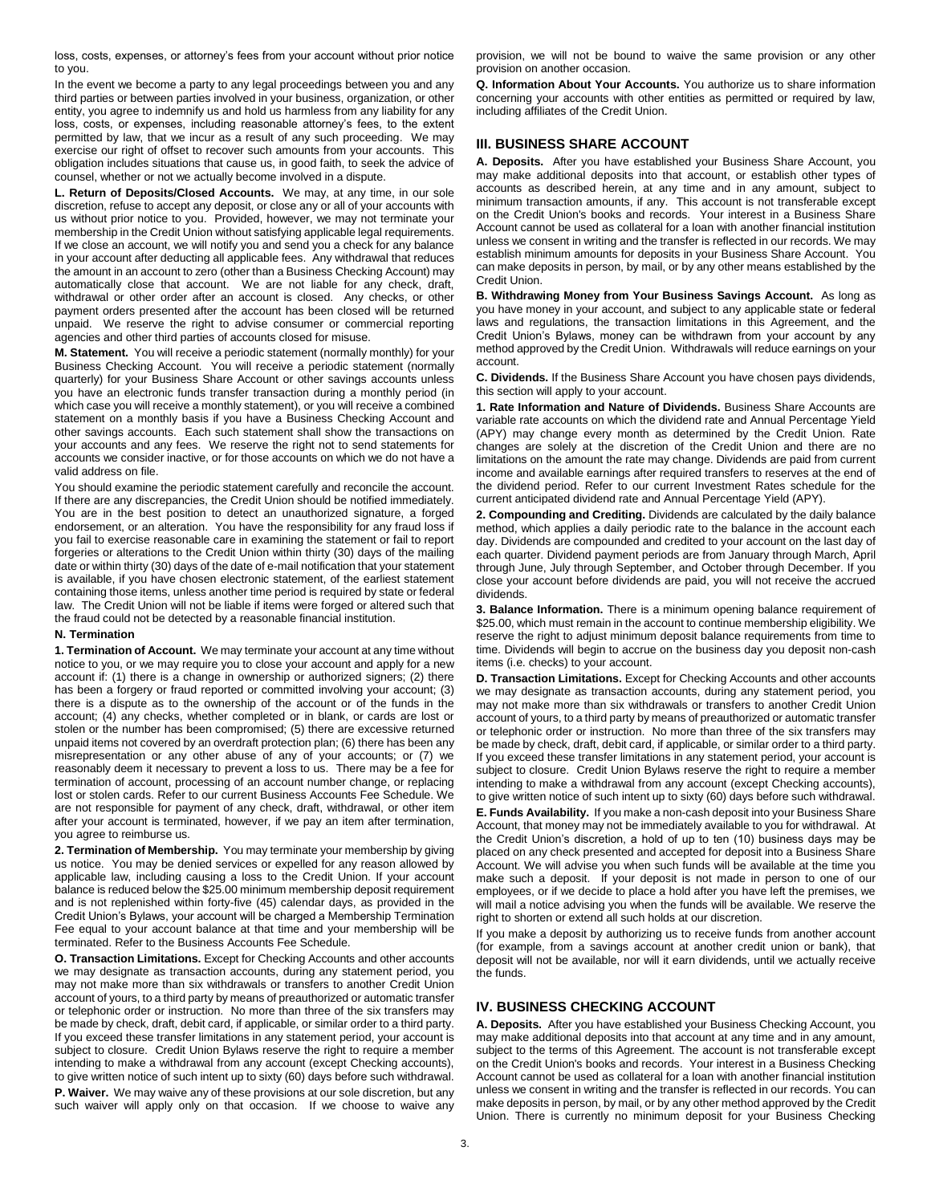loss, costs, expenses, or attorney's fees from your account without prior notice to you.

In the event we become a party to any legal proceedings between you and any third parties or between parties involved in your business, organization, or other entity, you agree to indemnify us and hold us harmless from any liability for any loss, costs, or expenses, including reasonable attorney's fees, to the extent permitted by law, that we incur as a result of any such proceeding. We may exercise our right of offset to recover such amounts from your accounts. This obligation includes situations that cause us, in good faith, to seek the advice of counsel, whether or not we actually become involved in a dispute.

**L. Return of Deposits/Closed Accounts.** We may, at any time, in our sole discretion, refuse to accept any deposit, or close any or all of your accounts with us without prior notice to you. Provided, however, we may not terminate your membership in the Credit Union without satisfying applicable legal requirements. If we close an account, we will notify you and send you a check for any balance in your account after deducting all applicable fees. Any withdrawal that reduces the amount in an account to zero (other than a Business Checking Account) may automatically close that account. We are not liable for any check, draft, withdrawal or other order after an account is closed. Any checks, or other payment orders presented after the account has been closed will be returned unpaid. We reserve the right to advise consumer or commercial reporting agencies and other third parties of accounts closed for misuse.

**M. Statement.** You will receive a periodic statement (normally monthly) for your Business Checking Account. You will receive a periodic statement (normally quarterly) for your Business Share Account or other savings accounts unless you have an electronic funds transfer transaction during a monthly period (in which case you will receive a monthly statement), or you will receive a combined statement on a monthly basis if you have a Business Checking Account and other savings accounts. Each such statement shall show the transactions on your accounts and any fees. We reserve the right not to send statements for accounts we consider inactive, or for those accounts on which we do not have a valid address on file.

You should examine the periodic statement carefully and reconcile the account. If there are any discrepancies, the Credit Union should be notified immediately. You are in the best position to detect an unauthorized signature, a forged endorsement, or an alteration. You have the responsibility for any fraud loss if you fail to exercise reasonable care in examining the statement or fail to report forgeries or alterations to the Credit Union within thirty (30) days of the mailing date or within thirty (30) days of the date of e-mail notification that your statement is available, if you have chosen electronic statement, of the earliest statement containing those items, unless another time period is required by state or federal law. The Credit Union will not be liable if items were forged or altered such that the fraud could not be detected by a reasonable financial institution.

#### **N. Termination**

**1. Termination of Account.** We may terminate your account at any time without notice to you, or we may require you to close your account and apply for a new account if: (1) there is a change in ownership or authorized signers; (2) there has been a forgery or fraud reported or committed involving your account; (3) there is a dispute as to the ownership of the account or of the funds in the account; (4) any checks, whether completed or in blank, or cards are lost or stolen or the number has been compromised; (5) there are excessive returned unpaid items not covered by an overdraft protection plan; (6) there has been any misrepresentation or any other abuse of any of your accounts; or (7) we reasonably deem it necessary to prevent a loss to us. There may be a fee for termination of account, processing of an account number change, or replacing lost or stolen cards. Refer to our current Business Accounts Fee Schedule. We are not responsible for payment of any check, draft, withdrawal, or other item after your account is terminated, however, if we pay an item after termination, you agree to reimburse us.

**2. Termination of Membership.** You may terminate your membership by giving us notice. You may be denied services or expelled for any reason allowed by applicable law, including causing a loss to the Credit Union. If your account balance is reduced below the \$25.00 minimum membership deposit requirement and is not replenished within forty-five (45) calendar days, as provided in the Credit Union's Bylaws, your account will be charged a Membership Termination Fee equal to your account balance at that time and your membership will be terminated. Refer to the Business Accounts Fee Schedule.

**O. Transaction Limitations.** Except for Checking Accounts and other accounts we may designate as transaction accounts, during any statement period, you may not make more than six withdrawals or transfers to another Credit Union account of yours, to a third party by means of preauthorized or automatic transfer or telephonic order or instruction. No more than three of the six transfers may be made by check, draft, debit card, if applicable, or similar order to a third party. If you exceed these transfer limitations in any statement period, your account is subject to closure. Credit Union Bylaws reserve the right to require a member intending to make a withdrawal from any account (except Checking accounts), to give written notice of such intent up to sixty (60) days before such withdrawal. **P. Waiver.** We may waive any of these provisions at our sole discretion, but any such waiver will apply only on that occasion. If we choose to waive any

provision, we will not be bound to waive the same provision or any other provision on another occasion.

**Q. Information About Your Accounts.** You authorize us to share information concerning your accounts with other entities as permitted or required by law, including affiliates of the Credit Union.

### **III. BUSINESS SHARE ACCOUNT**

**A. Deposits.** After you have established your Business Share Account, you may make additional deposits into that account, or establish other types of accounts as described herein, at any time and in any amount, subject to minimum transaction amounts, if any. This account is not transferable except on the Credit Union's books and records. Your interest in a Business Share Account cannot be used as collateral for a loan with another financial institution unless we consent in writing and the transfer is reflected in our records. We may establish minimum amounts for deposits in your Business Share Account. You can make deposits in person, by mail, or by any other means established by the Credit Union.

**B. Withdrawing Money from Your Business Savings Account.** As long as you have money in your account, and subject to any applicable state or federal laws and regulations, the transaction limitations in this Agreement, and the Credit Union's Bylaws, money can be withdrawn from your account by any method approved by the Credit Union. Withdrawals will reduce earnings on your account.

**C. Dividends.** If the Business Share Account you have chosen pays dividends, this section will apply to your account.

**1. Rate Information and Nature of Dividends.** Business Share Accounts are variable rate accounts on which the dividend rate and Annual Percentage Yield (APY) may change every month as determined by the Credit Union. Rate changes are solely at the discretion of the Credit Union and there are no limitations on the amount the rate may change. Dividends are paid from current income and available earnings after required transfers to reserves at the end of the dividend period. Refer to our current Investment Rates schedule for the current anticipated dividend rate and Annual Percentage Yield (APY).

**2. Compounding and Crediting.** Dividends are calculated by the daily balance method, which applies a daily periodic rate to the balance in the account each day. Dividends are compounded and credited to your account on the last day of each quarter. Dividend payment periods are from January through March, April through June, July through September, and October through December. If you close your account before dividends are paid, you will not receive the accrued dividends.

**3. Balance Information.** There is a minimum opening balance requirement of \$25.00, which must remain in the account to continue membership eligibility. We reserve the right to adjust minimum deposit balance requirements from time to time. Dividends will begin to accrue on the business day you deposit non-cash items (i.e. checks) to your account.

**D. Transaction Limitations.** Except for Checking Accounts and other accounts we may designate as transaction accounts, during any statement period, you may not make more than six withdrawals or transfers to another Credit Union account of yours, to a third party by means of preauthorized or automatic transfer or telephonic order or instruction. No more than three of the six transfers may be made by check, draft, debit card, if applicable, or similar order to a third party. If you exceed these transfer limitations in any statement period, your account is subject to closure. Credit Union Bylaws reserve the right to require a member intending to make a withdrawal from any account (except Checking accounts), to give written notice of such intent up to sixty (60) days before such withdrawal.

**E. Funds Availability.** If you make a non-cash deposit into your Business Share Account, that money may not be immediately available to you for withdrawal. At the Credit Union's discretion, a hold of up to ten (10) business days may be placed on any check presented and accepted for deposit into a Business Share Account. We will advise you when such funds will be available at the time you make such a deposit. If your deposit is not made in person to one of our employees, or if we decide to place a hold after you have left the premises, we will mail a notice advising you when the funds will be available. We reserve the right to shorten or extend all such holds at our discretion.

If you make a deposit by authorizing us to receive funds from another account (for example, from a savings account at another credit union or bank), that deposit will not be available, nor will it earn dividends, until we actually receive the funds.

# **IV. BUSINESS CHECKING ACCOUNT**

**A. Deposits.** After you have established your Business Checking Account, you may make additional deposits into that account at any time and in any amount, subject to the terms of this Agreement. The account is not transferable except on the Credit Union's books and records. Your interest in a Business Checking Account cannot be used as collateral for a loan with another financial institution unless we consent in writing and the transfer is reflected in our records. You can make deposits in person, by mail, or by any other method approved by the Credit Union. There is currently no minimum deposit for your Business Checking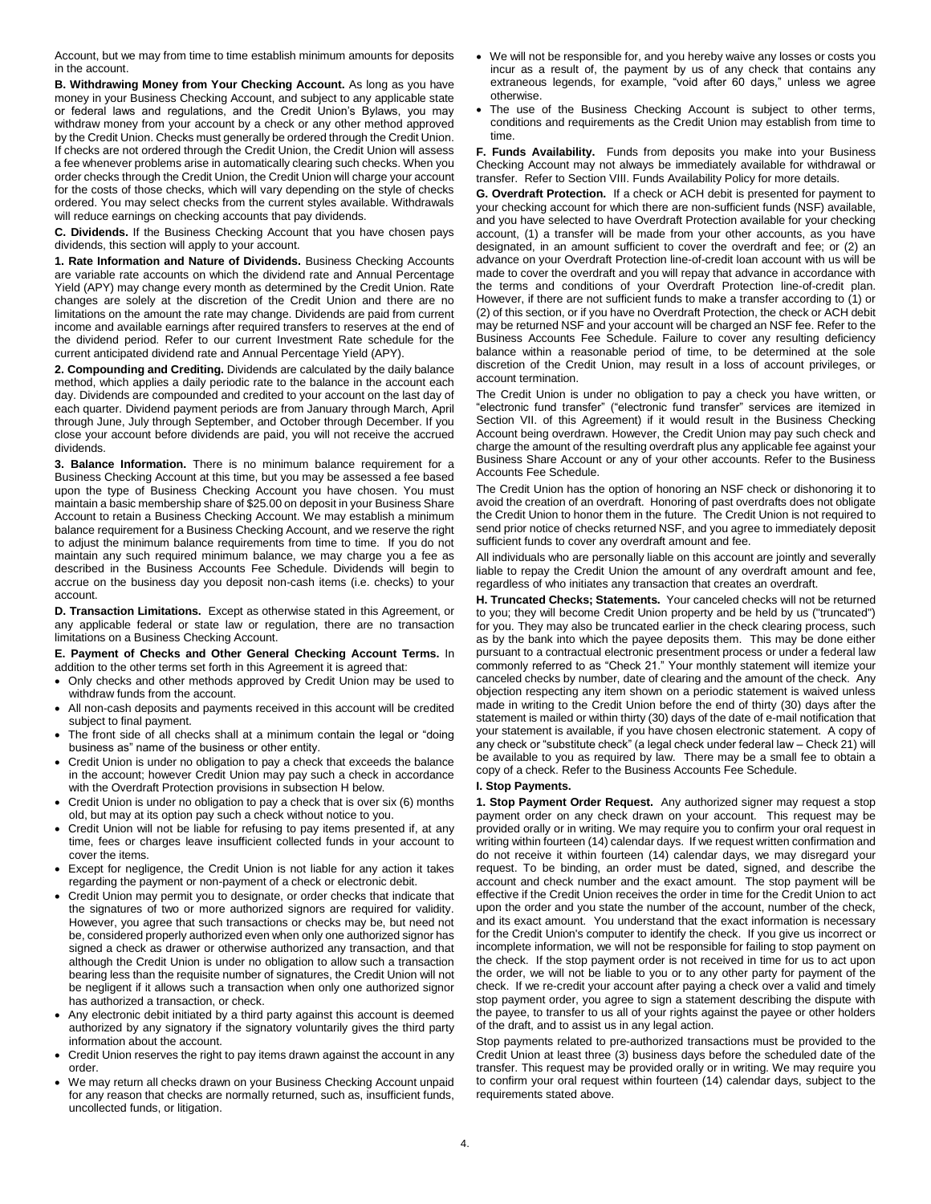Account, but we may from time to time establish minimum amounts for deposits in the account.

**B. Withdrawing Money from Your Checking Account.** As long as you have money in your Business Checking Account, and subject to any applicable state or federal laws and regulations, and the Credit Union's Bylaws, you may withdraw money from your account by a check or any other method approved by the Credit Union. Checks must generally be ordered through the Credit Union. If checks are not ordered through the Credit Union, the Credit Union will assess a fee whenever problems arise in automatically clearing such checks. When you order checks through the Credit Union, the Credit Union will charge your account for the costs of those checks, which will vary depending on the style of checks ordered. You may select checks from the current styles available. Withdrawals will reduce earnings on checking accounts that pay dividends.

**C. Dividends.** If the Business Checking Account that you have chosen pays dividends, this section will apply to your account.

**1. Rate Information and Nature of Dividends.** Business Checking Accounts are variable rate accounts on which the dividend rate and Annual Percentage Yield (APY) may change every month as determined by the Credit Union. Rate changes are solely at the discretion of the Credit Union and there are no limitations on the amount the rate may change. Dividends are paid from current income and available earnings after required transfers to reserves at the end of the dividend period. Refer to our current Investment Rate schedule for the current anticipated dividend rate and Annual Percentage Yield (APY).

**2. Compounding and Crediting.** Dividends are calculated by the daily balance method, which applies a daily periodic rate to the balance in the account each day. Dividends are compounded and credited to your account on the last day of each quarter. Dividend payment periods are from January through March, April through June, July through September, and October through December. If you close your account before dividends are paid, you will not receive the accrued dividends.

**3. Balance Information.** There is no minimum balance requirement for a Business Checking Account at this time, but you may be assessed a fee based upon the type of Business Checking Account you have chosen. You must maintain a basic membership share of \$25.00 on deposit in your Business Share Account to retain a Business Checking Account. We may establish a minimum balance requirement for a Business Checking Account, and we reserve the right to adjust the minimum balance requirements from time to time. If you do not maintain any such required minimum balance, we may charge you a fee as described in the Business Accounts Fee Schedule. Dividends will begin to accrue on the business day you deposit non-cash items (i.e. checks) to your account.

**D. Transaction Limitations.** Except as otherwise stated in this Agreement, or any applicable federal or state law or regulation, there are no transaction limitations on a Business Checking Account.

**E. Payment of Checks and Other General Checking Account Terms.** In addition to the other terms set forth in this Agreement it is agreed that:

- Only checks and other methods approved by Credit Union may be used to withdraw funds from the account.
- All non-cash deposits and payments received in this account will be credited subject to final payment.
- The front side of all checks shall at a minimum contain the legal or "doing business as" name of the business or other entity.
- Credit Union is under no obligation to pay a check that exceeds the balance in the account; however Credit Union may pay such a check in accordance with the Overdraft Protection provisions in subsection H below.
- Credit Union is under no obligation to pay a check that is over six (6) months old, but may at its option pay such a check without notice to you.
- Credit Union will not be liable for refusing to pay items presented if, at any time, fees or charges leave insufficient collected funds in your account to cover the items.
- Except for negligence, the Credit Union is not liable for any action it takes regarding the payment or non-payment of a check or electronic debit.
- Credit Union may permit you to designate, or order checks that indicate that the signatures of two or more authorized signors are required for validity. However, you agree that such transactions or checks may be, but need not be, considered properly authorized even when only one authorized signor has signed a check as drawer or otherwise authorized any transaction, and that although the Credit Union is under no obligation to allow such a transaction bearing less than the requisite number of signatures, the Credit Union will not be negligent if it allows such a transaction when only one authorized signor has authorized a transaction, or check.
- Any electronic debit initiated by a third party against this account is deemed authorized by any signatory if the signatory voluntarily gives the third party information about the account.
- Credit Union reserves the right to pay items drawn against the account in any order.
- We may return all checks drawn on your Business Checking Account unpaid for any reason that checks are normally returned, such as, insufficient funds, uncollected funds, or litigation.
- We will not be responsible for, and you hereby waive any losses or costs you incur as a result of, the payment by us of any check that contains any extraneous legends, for example, "void after 60 days," unless we agree otherwise.
- The use of the Business Checking Account is subject to other terms, conditions and requirements as the Credit Union may establish from time to time.

**F. Funds Availability.** Funds from deposits you make into your Business Checking Account may not always be immediately available for withdrawal or transfer. Refer to Section VIII. Funds Availability Policy for more details.

**G. Overdraft Protection.** If a check or ACH debit is presented for payment to your checking account for which there are non-sufficient funds (NSF) available, and you have selected to have Overdraft Protection available for your checking account, (1) a transfer will be made from your other accounts, as you have designated, in an amount sufficient to cover the overdraft and fee; or (2) an advance on your Overdraft Protection line-of-credit loan account with us will be made to cover the overdraft and you will repay that advance in accordance with the terms and conditions of your Overdraft Protection line-of-credit plan. However, if there are not sufficient funds to make a transfer according to (1) or (2) of this section, or if you have no Overdraft Protection, the check or ACH debit may be returned NSF and your account will be charged an NSF fee. Refer to the Business Accounts Fee Schedule. Failure to cover any resulting deficiency balance within a reasonable period of time, to be determined at the sole discretion of the Credit Union, may result in a loss of account privileges, or account termination.

The Credit Union is under no obligation to pay a check you have written, or "electronic fund transfer" ("electronic fund transfer" services are itemized in Section VII. of this Agreement) if it would result in the Business Checking Account being overdrawn. However, the Credit Union may pay such check and charge the amount of the resulting overdraft plus any applicable fee against your Business Share Account or any of your other accounts. Refer to the Business Accounts Fee Schedule.

The Credit Union has the option of honoring an NSF check or dishonoring it to avoid the creation of an overdraft. Honoring of past overdrafts does not obligate the Credit Union to honor them in the future. The Credit Union is not required to send prior notice of checks returned NSF, and you agree to immediately deposit sufficient funds to cover any overdraft amount and fee.

All individuals who are personally liable on this account are jointly and severally liable to repay the Credit Union the amount of any overdraft amount and fee, regardless of who initiates any transaction that creates an overdraft.

**H. Truncated Checks; Statements.** Your canceled checks will not be returned to you; they will become Credit Union property and be held by us ("truncated") for you. They may also be truncated earlier in the check clearing process, such as by the bank into which the payee deposits them. This may be done either pursuant to a contractual electronic presentment process or under a federal law commonly referred to as "Check 21." Your monthly statement will itemize your canceled checks by number, date of clearing and the amount of the check. Any objection respecting any item shown on a periodic statement is waived unless made in writing to the Credit Union before the end of thirty (30) days after the statement is mailed or within thirty (30) days of the date of e-mail notification that your statement is available, if you have chosen electronic statement. A copy of any check or "substitute check" (a legal check under federal law – Check 21) will be available to you as required by law. There may be a small fee to obtain a copy of a check. Refer to the Business Accounts Fee Schedule.

#### **I. Stop Payments.**

**1. Stop Payment Order Request.** Any authorized signer may request a stop payment order on any check drawn on your account. This request may be provided orally or in writing. We may require you to confirm your oral request in writing within fourteen (14) calendar days. If we request written confirmation and do not receive it within fourteen (14) calendar days, we may disregard your request. To be binding, an order must be dated, signed, and describe the account and check number and the exact amount. The stop payment will be effective if the Credit Union receives the order in time for the Credit Union to act upon the order and you state the number of the account, number of the check, and its exact amount. You understand that the exact information is necessary for the Credit Union's computer to identify the check. If you give us incorrect or incomplete information, we will not be responsible for failing to stop payment on the check. If the stop payment order is not received in time for us to act upon the order, we will not be liable to you or to any other party for payment of the check. If we re-credit your account after paying a check over a valid and timely stop payment order, you agree to sign a statement describing the dispute with the payee, to transfer to us all of your rights against the payee or other holders of the draft, and to assist us in any legal action.

Stop payments related to pre-authorized transactions must be provided to the Credit Union at least three (3) business days before the scheduled date of the transfer. This request may be provided orally or in writing. We may require you to confirm your oral request within fourteen (14) calendar days, subject to the requirements stated above.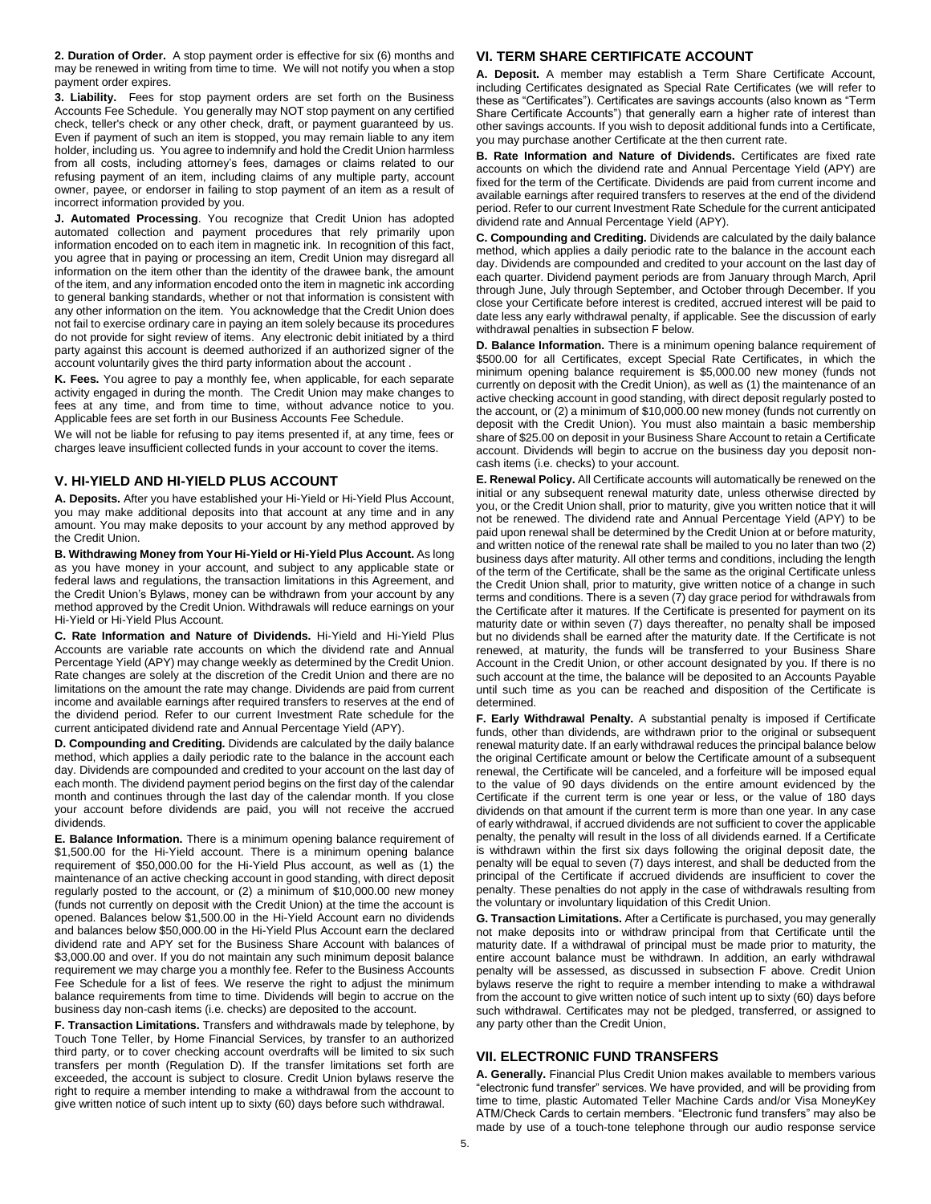**2. Duration of Order.** A stop payment order is effective for six (6) months and may be renewed in writing from time to time. We will not notify you when a stop payment order expires.

**3. Liability.** Fees for stop payment orders are set forth on the Business Accounts Fee Schedule. You generally may NOT stop payment on any certified check, teller's check or any other check, draft, or payment guaranteed by us. Even if payment of such an item is stopped, you may remain liable to any item holder, including us. You agree to indemnify and hold the Credit Union harmless from all costs, including attorney's fees, damages or claims related to our refusing payment of an item, including claims of any multiple party, account owner, payee, or endorser in failing to stop payment of an item as a result of incorrect information provided by you.

**J. Automated Processing**. You recognize that Credit Union has adopted automated collection and payment procedures that rely primarily upon information encoded on to each item in magnetic ink. In recognition of this fact, you agree that in paying or processing an item, Credit Union may disregard all information on the item other than the identity of the drawee bank, the amount of the item, and any information encoded onto the item in magnetic ink according to general banking standards, whether or not that information is consistent with any other information on the item. You acknowledge that the Credit Union does not fail to exercise ordinary care in paying an item solely because its procedures do not provide for sight review of items. Any electronic debit initiated by a third party against this account is deemed authorized if an authorized signer of the account voluntarily gives the third party information about the account .

**K. Fees.** You agree to pay a monthly fee, when applicable, for each separate activity engaged in during the month. The Credit Union may make changes to fees at any time, and from time to time, without advance notice to you. Applicable fees are set forth in our Business Accounts Fee Schedule.

We will not be liable for refusing to pay items presented if, at any time, fees or charges leave insufficient collected funds in your account to cover the items.

# **V. HI-YIELD AND HI-YIELD PLUS ACCOUNT**

**A. Deposits.** After you have established your Hi-Yield or Hi-Yield Plus Account, you may make additional deposits into that account at any time and in any amount. You may make deposits to your account by any method approved by the Credit Union.

**B. Withdrawing Money from Your Hi-Yield or Hi-Yield Plus Account.** As long as you have money in your account, and subject to any applicable state or federal laws and regulations, the transaction limitations in this Agreement, and the Credit Union's Bylaws, money can be withdrawn from your account by any method approved by the Credit Union. Withdrawals will reduce earnings on your Hi-Yield or Hi-Yield Plus Account.

**C. Rate Information and Nature of Dividends.** Hi-Yield and Hi-Yield Plus Accounts are variable rate accounts on which the dividend rate and Annual Percentage Yield (APY) may change weekly as determined by the Credit Union. Rate changes are solely at the discretion of the Credit Union and there are no limitations on the amount the rate may change. Dividends are paid from current income and available earnings after required transfers to reserves at the end of the dividend period. Refer to our current Investment Rate schedule for the current anticipated dividend rate and Annual Percentage Yield (APY).

**D. Compounding and Crediting.** Dividends are calculated by the daily balance method, which applies a daily periodic rate to the balance in the account each day. Dividends are compounded and credited to your account on the last day of each month. The dividend payment period begins on the first day of the calendar month and continues through the last day of the calendar month. If you close your account before dividends are paid, you will not receive the accrued dividends.

**E. Balance Information.** There is a minimum opening balance requirement of \$1,500.00 for the Hi-Yield account. There is a minimum opening balance requirement of \$50,000.00 for the Hi-Yield Plus account, as well as (1) the maintenance of an active checking account in good standing, with direct deposit regularly posted to the account, or (2) a minimum of \$10,000.00 new money (funds not currently on deposit with the Credit Union) at the time the account is opened. Balances below \$1,500.00 in the Hi-Yield Account earn no dividends and balances below \$50,000.00 in the Hi-Yield Plus Account earn the declared dividend rate and APY set for the Business Share Account with balances of \$3,000.00 and over. If you do not maintain any such minimum deposit balance requirement we may charge you a monthly fee. Refer to the Business Accounts Fee Schedule for a list of fees. We reserve the right to adjust the minimum balance requirements from time to time. Dividends will begin to accrue on the business day non-cash items (i.e. checks) are deposited to the account.

**F. Transaction Limitations.** Transfers and withdrawals made by telephone, by Touch Tone Teller, by Home Financial Services, by transfer to an authorized third party, or to cover checking account overdrafts will be limited to six such transfers per month (Regulation D). If the transfer limitations set forth are exceeded, the account is subject to closure. Credit Union bylaws reserve the right to require a member intending to make a withdrawal from the account to give written notice of such intent up to sixty (60) days before such withdrawal.

# **VI. TERM SHARE CERTIFICATE ACCOUNT**

**A. Deposit.** A member may establish a Term Share Certificate Account, including Certificates designated as Special Rate Certificates (we will refer to these as "Certificates"). Certificates are savings accounts (also known as "Term Share Certificate Accounts") that generally earn a higher rate of interest than other savings accounts. If you wish to deposit additional funds into a Certificate, you may purchase another Certificate at the then current rate.

**B. Rate Information and Nature of Dividends.** Certificates are fixed rate accounts on which the dividend rate and Annual Percentage Yield (APY) are fixed for the term of the Certificate. Dividends are paid from current income and available earnings after required transfers to reserves at the end of the dividend period. Refer to our current Investment Rate Schedule for the current anticipated dividend rate and Annual Percentage Yield (APY).

**C. Compounding and Crediting.** Dividends are calculated by the daily balance method, which applies a daily periodic rate to the balance in the account each day. Dividends are compounded and credited to your account on the last day of each quarter. Dividend payment periods are from January through March, April through June, July through September, and October through December. If you close your Certificate before interest is credited, accrued interest will be paid to date less any early withdrawal penalty, if applicable. See the discussion of early withdrawal penalties in subsection F below.

**D. Balance Information.** There is a minimum opening balance requirement of \$500.00 for all Certificates, except Special Rate Certificates, in which the minimum opening balance requirement is \$5,000.00 new money (funds not currently on deposit with the Credit Union), as well as (1) the maintenance of an active checking account in good standing, with direct deposit regularly posted to the account, or (2) a minimum of \$10,000.00 new money (funds not currently on deposit with the Credit Union). You must also maintain a basic membership share of \$25.00 on deposit in your Business Share Account to retain a Certificate account. Dividends will begin to accrue on the business day you deposit noncash items (i.e. checks) to your account.

**E. Renewal Policy.** All Certificate accounts will automatically be renewed on the initial or any subsequent renewal maturity date, unless otherwise directed by you, or the Credit Union shall, prior to maturity, give you written notice that it will not be renewed. The dividend rate and Annual Percentage Yield (APY) to be paid upon renewal shall be determined by the Credit Union at or before maturity, and written notice of the renewal rate shall be mailed to you no later than two (2) business days after maturity. All other terms and conditions, including the length of the term of the Certificate, shall be the same as the original Certificate unless the Credit Union shall, prior to maturity, give written notice of a change in such terms and conditions. There is a seven (7) day grace period for withdrawals from the Certificate after it matures. If the Certificate is presented for payment on its maturity date or within seven (7) days thereafter, no penalty shall be imposed but no dividends shall be earned after the maturity date. If the Certificate is not renewed, at maturity, the funds will be transferred to your Business Share Account in the Credit Union, or other account designated by you. If there is no such account at the time, the balance will be deposited to an Accounts Payable until such time as you can be reached and disposition of the Certificate is determined.

**F. Early Withdrawal Penalty.** A substantial penalty is imposed if Certificate funds, other than dividends, are withdrawn prior to the original or subsequent renewal maturity date. If an early withdrawal reduces the principal balance below the original Certificate amount or below the Certificate amount of a subsequent renewal, the Certificate will be canceled, and a forfeiture will be imposed equal to the value of 90 days dividends on the entire amount evidenced by the Certificate if the current term is one year or less, or the value of 180 days dividends on that amount if the current term is more than one year. In any case of early withdrawal, if accrued dividends are not sufficient to cover the applicable penalty, the penalty will result in the loss of all dividends earned. If a Certificate is withdrawn within the first six days following the original deposit date, the penalty will be equal to seven (7) days interest, and shall be deducted from the principal of the Certificate if accrued dividends are insufficient to cover the penalty. These penalties do not apply in the case of withdrawals resulting from the voluntary or involuntary liquidation of this Credit Union.

**G. Transaction Limitations.** After a Certificate is purchased, you may generally not make deposits into or withdraw principal from that Certificate until the maturity date. If a withdrawal of principal must be made prior to maturity, the entire account balance must be withdrawn. In addition, an early withdrawal penalty will be assessed, as discussed in subsection F above. Credit Union bylaws reserve the right to require a member intending to make a withdrawal from the account to give written notice of such intent up to sixty (60) days before such withdrawal. Certificates may not be pledged, transferred, or assigned to any party other than the Credit Union,

# **VII. ELECTRONIC FUND TRANSFERS**

**A. Generally.** Financial Plus Credit Union makes available to members various "electronic fund transfer" services. We have provided, and will be providing from time to time, plastic Automated Teller Machine Cards and/or Visa MoneyKey ATM/Check Cards to certain members. "Electronic fund transfers" may also be made by use of a touch-tone telephone through our audio response service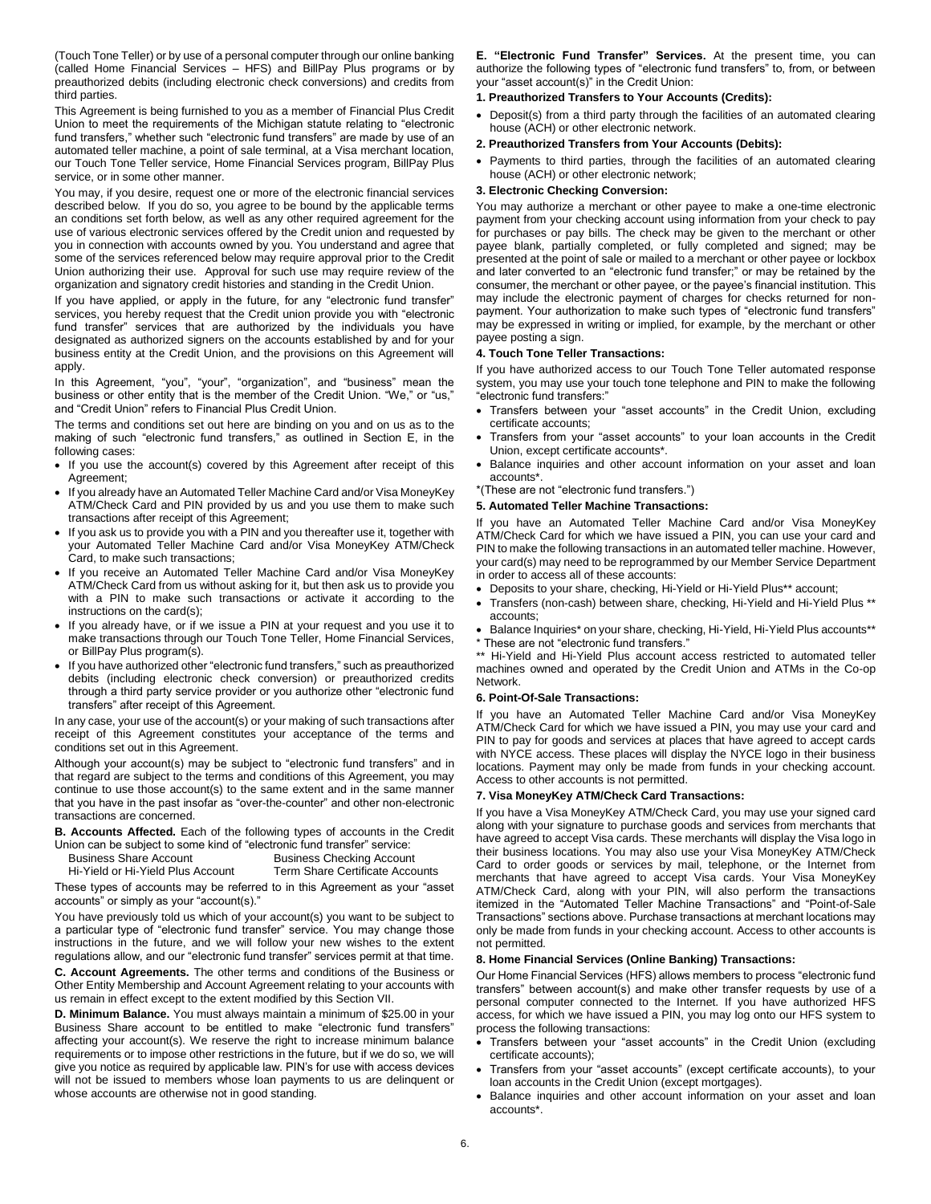(Touch Tone Teller) or by use of a personal computer through our online banking (called Home Financial Services – HFS) and BillPay Plus programs or by preauthorized debits (including electronic check conversions) and credits from third parties.

This Agreement is being furnished to you as a member of Financial Plus Credit Union to meet the requirements of the Michigan statute relating to "electronic fund transfers," whether such "electronic fund transfers" are made by use of an automated teller machine, a point of sale terminal, at a Visa merchant location, our Touch Tone Teller service, Home Financial Services program, BillPay Plus service, or in some other manner.

You may, if you desire, request one or more of the electronic financial services described below. If you do so, you agree to be bound by the applicable terms an conditions set forth below, as well as any other required agreement for the use of various electronic services offered by the Credit union and requested by you in connection with accounts owned by you. You understand and agree that some of the services referenced below may require approval prior to the Credit Union authorizing their use. Approval for such use may require review of the organization and signatory credit histories and standing in the Credit Union.

If you have applied, or apply in the future, for any "electronic fund transfer" services, you hereby request that the Credit union provide you with "electronic fund transfer" services that are authorized by the individuals you have designated as authorized signers on the accounts established by and for your business entity at the Credit Union, and the provisions on this Agreement will apply.

In this Agreement, "you", "your", "organization", and "business" mean the business or other entity that is the member of the Credit Union. "We," or "us," and "Credit Union" refers to Financial Plus Credit Union.

The terms and conditions set out here are binding on you and on us as to the making of such "electronic fund transfers," as outlined in Section E, in the following cases:

- If you use the account(s) covered by this Agreement after receipt of this Agreement;
- If you already have an Automated Teller Machine Card and/or Visa MoneyKey ATM/Check Card and PIN provided by us and you use them to make such transactions after receipt of this Agreement;
- If you ask us to provide you with a PIN and you thereafter use it, together with your Automated Teller Machine Card and/or Visa MoneyKey ATM/Check Card, to make such transactions;
- If you receive an Automated Teller Machine Card and/or Visa MoneyKey ATM/Check Card from us without asking for it, but then ask us to provide you with a PIN to make such transactions or activate it according to the instructions on the card(s);
- . If you already have, or if we issue a PIN at your request and you use it to make transactions through our Touch Tone Teller, Home Financial Services, or BillPay Plus program(s).
- If you have authorized other "electronic fund transfers," such as preauthorized debits (including electronic check conversion) or preauthorized credits through a third party service provider or you authorize other "electronic fund transfers" after receipt of this Agreement.

In any case, your use of the account(s) or your making of such transactions after receipt of this Agreement constitutes your acceptance of the terms and conditions set out in this Agreement.

Although your account(s) may be subject to "electronic fund transfers" and in that regard are subject to the terms and conditions of this Agreement, you may continue to use those account(s) to the same extent and in the same manner that you have in the past insofar as "over-the-counter" and other non-electronic transactions are concerned.

**B. Accounts Affected.** Each of the following types of accounts in the Credit Union can be subject to some kind of "electronic fund transfer" service:

| <b>Business Share Account</b>     | <b>Business Checking Account</b> |
|-----------------------------------|----------------------------------|
| Hi-Yield or Hi-Yield Plus Account | Term Share Certificate Accounts  |
|                                   |                                  |

These types of accounts may be referred to in this Agreement as your "asset accounts" or simply as your "account(s)."

You have previously told us which of your account(s) you want to be subject to a particular type of "electronic fund transfer" service. You may change those instructions in the future, and we will follow your new wishes to the extent regulations allow, and our "electronic fund transfer" services permit at that time.

**C. Account Agreements.** The other terms and conditions of the Business or Other Entity Membership and Account Agreement relating to your accounts with us remain in effect except to the extent modified by this Section VII.

**D. Minimum Balance.** You must always maintain a minimum of \$25.00 in your Business Share account to be entitled to make "electronic fund transfers" affecting your account(s). We reserve the right to increase minimum balance requirements or to impose other restrictions in the future, but if we do so, we will give you notice as required by applicable law. PIN's for use with access devices will not be issued to members whose loan payments to us are delinquent or whose accounts are otherwise not in good standing.

**E. "Electronic Fund Transfer" Services.** At the present time, you can authorize the following types of "electronic fund transfers" to, from, or between your "asset account(s)" in the Credit Union:

#### **1. Preauthorized Transfers to Your Accounts (Credits):**

- Deposit(s) from a third party through the facilities of an automated clearing house (ACH) or other electronic network.
- **2. Preauthorized Transfers from Your Accounts (Debits):**
- Payments to third parties, through the facilities of an automated clearing house (ACH) or other electronic network;

#### **3. Electronic Checking Conversion:**

You may authorize a merchant or other payee to make a one-time electronic payment from your checking account using information from your check to pay for purchases or pay bills. The check may be given to the merchant or other payee blank, partially completed, or fully completed and signed; may be presented at the point of sale or mailed to a merchant or other payee or lockbox and later converted to an "electronic fund transfer;" or may be retained by the consumer, the merchant or other payee, or the payee's financial institution. This may include the electronic payment of charges for checks returned for nonpayment. Your authorization to make such types of "electronic fund transfers" may be expressed in writing or implied, for example, by the merchant or other payee posting a sign.

#### **4. Touch Tone Teller Transactions:**

If you have authorized access to our Touch Tone Teller automated response system, you may use your touch tone telephone and PIN to make the following "electronic fund transfers:"

- Transfers between your "asset accounts" in the Credit Union, excluding certificate accounts;
- Transfers from your "asset accounts" to your loan accounts in the Credit Union, except certificate accounts\*.
- Balance inquiries and other account information on your asset and loan accounts\*.
- \*(These are not "electronic fund transfers.")

#### **5. Automated Teller Machine Transactions:**

If you have an Automated Teller Machine Card and/or Visa MoneyKey ATM/Check Card for which we have issued a PIN, you can use your card and PIN to make the following transactions in an automated teller machine. However, your card(s) may need to be reprogrammed by our Member Service Department in order to access all of these accounts:

- Deposits to your share, checking, Hi-Yield or Hi-Yield Plus\*\* account;
- Transfers (non-cash) between share, checking, Hi-Yield and Hi-Yield Plus \*\* accounts;
- Balance Inquiries\* on your share, checking, Hi-Yield, Hi-Yield Plus accounts\*\* \* These are not "electronic fund transfers."

\*\* Hi-Yield and Hi-Yield Plus account access restricted to automated teller machines owned and operated by the Credit Union and ATMs in the Co-op Network.

#### **6. Point-Of-Sale Transactions:**

If you have an Automated Teller Machine Card and/or Visa MoneyKey ATM/Check Card for which we have issued a PIN, you may use your card and PIN to pay for goods and services at places that have agreed to accept cards with NYCE access. These places will display the NYCE logo in their business locations. Payment may only be made from funds in your checking account. Access to other accounts is not permitted.

#### **7. Visa MoneyKey ATM/Check Card Transactions:**

If you have a Visa MoneyKey ATM/Check Card, you may use your signed card along with your signature to purchase goods and services from merchants that have agreed to accept Visa cards. These merchants will display the Visa logo in their business locations. You may also use your Visa MoneyKey ATM/Check Card to order goods or services by mail, telephone, or the Internet from merchants that have agreed to accept Visa cards. Your Visa MoneyKey ATM/Check Card, along with your PIN, will also perform the transactions itemized in the "Automated Teller Machine Transactions" and "Point-of-Sale Transactions" sections above. Purchase transactions at merchant locations may only be made from funds in your checking account. Access to other accounts is not permitted.

#### **8. Home Financial Services (Online Banking) Transactions:**

Our Home Financial Services (HFS) allows members to process "electronic fund transfers" between account(s) and make other transfer requests by use of a personal computer connected to the Internet. If you have authorized HFS access, for which we have issued a PIN, you may log onto our HFS system to process the following transactions:

- Transfers between your "asset accounts" in the Credit Union (excluding certificate accounts);
- Transfers from your "asset accounts" (except certificate accounts), to your loan accounts in the Credit Union (except mortgages).
- Balance inquiries and other account information on your asset and loan accounts\*.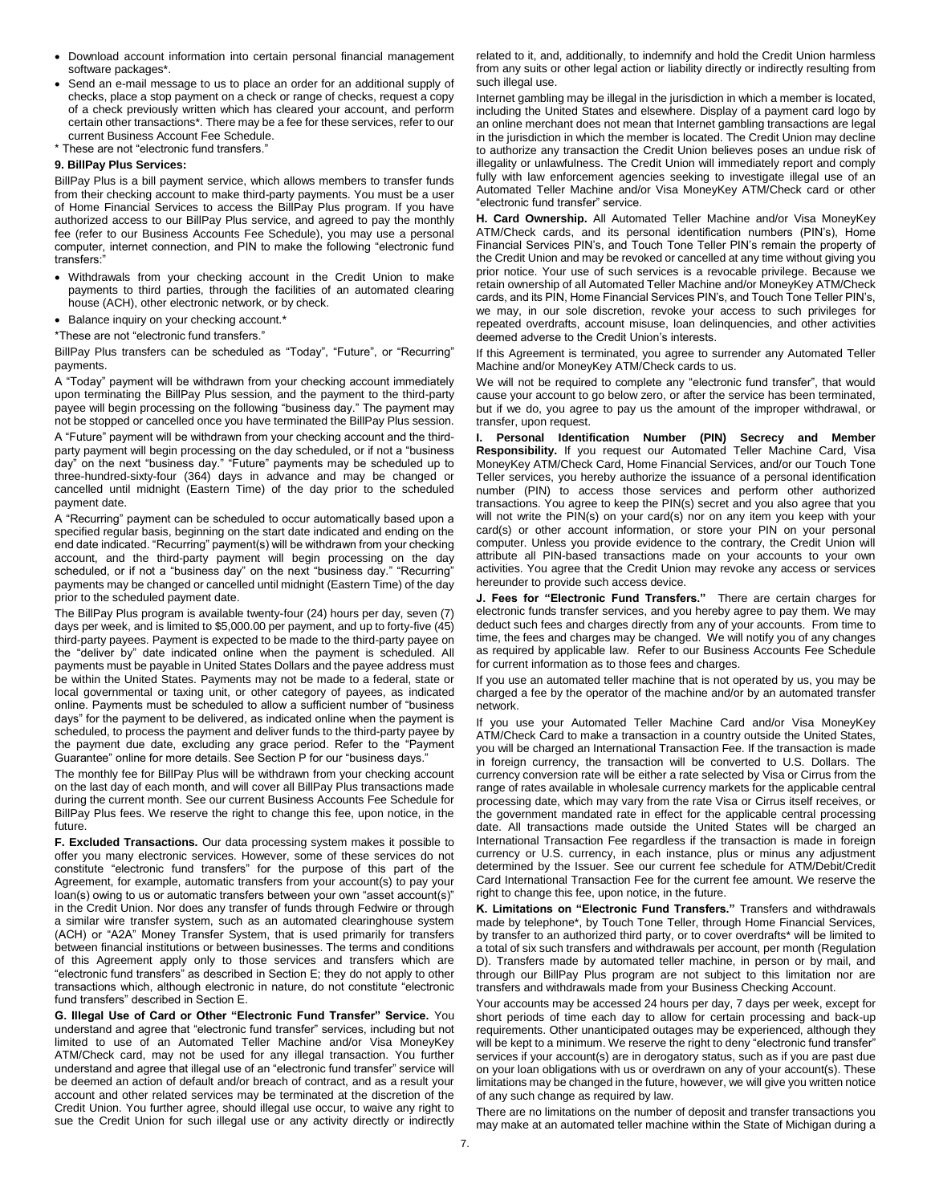- Download account information into certain personal financial management software packages\*.
- Send an e-mail message to us to place an order for an additional supply of checks, place a stop payment on a check or range of checks, request a copy of a check previously written which has cleared your account, and perform certain other transactions\*. There may be a fee for these services, refer to our current Business Account Fee Schedule.
- \* These are not "electronic fund transfers."

#### **9. BillPay Plus Services:**

BillPay Plus is a bill payment service, which allows members to transfer funds from their checking account to make third-party payments. You must be a user of Home Financial Services to access the BillPay Plus program. If you have authorized access to our BillPay Plus service, and agreed to pay the monthly fee (refer to our Business Accounts Fee Schedule), you may use a personal computer, internet connection, and PIN to make the following "electronic fund transfers:"

- Withdrawals from your checking account in the Credit Union to make payments to third parties, through the facilities of an automated clearing house (ACH), other electronic network, or by check.
- Balance inquiry on your checking account.\*
- \*These are not "electronic fund transfers."

BillPay Plus transfers can be scheduled as "Today", "Future", or "Recurring" payments.

A "Today" payment will be withdrawn from your checking account immediately upon terminating the BillPay Plus session, and the payment to the third-party payee will begin processing on the following "business day." The payment may not be stopped or cancelled once you have terminated the BillPay Plus session.

A "Future" payment will be withdrawn from your checking account and the thirdparty payment will begin processing on the day scheduled, or if not a "business day" on the next "business day." "Future" payments may be scheduled up to three-hundred-sixty-four (364) days in advance and may be changed or cancelled until midnight (Eastern Time) of the day prior to the scheduled payment date.

A "Recurring" payment can be scheduled to occur automatically based upon a specified regular basis, beginning on the start date indicated and ending on the end date indicated. "Recurring" payment(s) will be withdrawn from your checking account, and the third-party payment will begin processing on the day scheduled, or if not a "business day" on the next "business day." "Recurring" payments may be changed or cancelled until midnight (Eastern Time) of the day prior to the scheduled payment date.

The BillPay Plus program is available twenty-four (24) hours per day, seven (7) days per week, and is limited to \$5,000.00 per payment, and up to forty-five (45) third-party payees. Payment is expected to be made to the third-party payee on the "deliver by" date indicated online when the payment is scheduled. All payments must be payable in United States Dollars and the payee address must be within the United States. Payments may not be made to a federal, state or local governmental or taxing unit, or other category of payees, as indicated online. Payments must be scheduled to allow a sufficient number of "business days" for the payment to be delivered, as indicated online when the payment is scheduled, to process the payment and deliver funds to the third-party payee by the payment due date, excluding any grace period. Refer to the "Payment Guarantee" online for more details. See Section P for our "business days."

The monthly fee for BillPay Plus will be withdrawn from your checking account on the last day of each month, and will cover all BillPay Plus transactions made during the current month. See our current Business Accounts Fee Schedule for BillPay Plus fees. We reserve the right to change this fee, upon notice, in the future.

**F. Excluded Transactions.** Our data processing system makes it possible to offer you many electronic services. However, some of these services do not constitute "electronic fund transfers" for the purpose of this part of the Agreement, for example, automatic transfers from your account(s) to pay your loan(s) owing to us or automatic transfers between your own "asset account(s)" in the Credit Union. Nor does any transfer of funds through Fedwire or through a similar wire transfer system, such as an automated clearinghouse system (ACH) or "A2A" Money Transfer System, that is used primarily for transfers between financial institutions or between businesses. The terms and conditions of this Agreement apply only to those services and transfers which are "electronic fund transfers" as described in Section E; they do not apply to other transactions which, although electronic in nature, do not constitute "electronic fund transfers" described in Section E.

**G. Illegal Use of Card or Other "Electronic Fund Transfer" Service.** You understand and agree that "electronic fund transfer" services, including but not limited to use of an Automated Teller Machine and/or Visa MoneyKey ATM/Check card, may not be used for any illegal transaction. You further understand and agree that illegal use of an "electronic fund transfer" service will be deemed an action of default and/or breach of contract, and as a result your account and other related services may be terminated at the discretion of the Credit Union. You further agree, should illegal use occur, to waive any right to sue the Credit Union for such illegal use or any activity directly or indirectly related to it, and, additionally, to indemnify and hold the Credit Union harmless from any suits or other legal action or liability directly or indirectly resulting from such illegal use.

Internet gambling may be illegal in the jurisdiction in which a member is located, including the United States and elsewhere. Display of a payment card logo by an online merchant does not mean that Internet gambling transactions are legal in the jurisdiction in which the member is located. The Credit Union may decline to authorize any transaction the Credit Union believes poses an undue risk of illegality or unlawfulness. The Credit Union will immediately report and comply fully with law enforcement agencies seeking to investigate illegal use of an Automated Teller Machine and/or Visa MoneyKey ATM/Check card or other "electronic fund transfer" service.

**H. Card Ownership.** All Automated Teller Machine and/or Visa MoneyKey ATM/Check cards, and its personal identification numbers (PIN's), Home Financial Services PIN's, and Touch Tone Teller PIN's remain the property of the Credit Union and may be revoked or cancelled at any time without giving you prior notice. Your use of such services is a revocable privilege. Because we retain ownership of all Automated Teller Machine and/or MoneyKey ATM/Check cards, and its PIN, Home Financial Services PIN's, and Touch Tone Teller PIN's, we may, in our sole discretion, revoke your access to such privileges for repeated overdrafts, account misuse, loan delinquencies, and other activities deemed adverse to the Credit Union's interests.

If this Agreement is terminated, you agree to surrender any Automated Teller Machine and/or MoneyKey ATM/Check cards to us.

We will not be required to complete any "electronic fund transfer", that would cause your account to go below zero, or after the service has been terminated, but if we do, you agree to pay us the amount of the improper withdrawal, or transfer, upon request.

**I. Personal Identification Number (PIN) Secrecy and Member Responsibility.** If you request our Automated Teller Machine Card, Visa MoneyKey ATM/Check Card, Home Financial Services, and/or our Touch Tone Teller services, you hereby authorize the issuance of a personal identification number (PIN) to access those services and perform other authorized transactions. You agree to keep the PIN(s) secret and you also agree that you will not write the PIN(s) on your card(s) nor on any item you keep with your card(s) or other account information, or store your PIN on your personal computer. Unless you provide evidence to the contrary, the Credit Union will attribute all PIN-based transactions made on your accounts to your own activities. You agree that the Credit Union may revoke any access or services hereunder to provide such access device.

**J. Fees for "Electronic Fund Transfers."** There are certain charges for electronic funds transfer services, and you hereby agree to pay them. We may deduct such fees and charges directly from any of your accounts. From time to time, the fees and charges may be changed. We will notify you of any changes as required by applicable law. Refer to our Business Accounts Fee Schedule for current information as to those fees and charges.

If you use an automated teller machine that is not operated by us, you may be charged a fee by the operator of the machine and/or by an automated transfer network.

If you use your Automated Teller Machine Card and/or Visa MoneyKey ATM/Check Card to make a transaction in a country outside the United States, you will be charged an International Transaction Fee. If the transaction is made in foreign currency, the transaction will be converted to U.S. Dollars. The currency conversion rate will be either a rate selected by Visa or Cirrus from the range of rates available in wholesale currency markets for the applicable central processing date, which may vary from the rate Visa or Cirrus itself receives, or the government mandated rate in effect for the applicable central processing date. All transactions made outside the United States will be charged an International Transaction Fee regardless if the transaction is made in foreign currency or U.S. currency, in each instance, plus or minus any adjustment determined by the Issuer. See our current fee schedule for ATM/Debit/Credit Card International Transaction Fee for the current fee amount. We reserve the right to change this fee, upon notice, in the future.

**K. Limitations on "Electronic Fund Transfers."** Transfers and withdrawals made by telephone\*, by Touch Tone Teller, through Home Financial Services, by transfer to an authorized third party, or to cover overdrafts\* will be limited to a total of six such transfers and withdrawals per account, per month (Regulation D). Transfers made by automated teller machine, in person or by mail, and through our BillPay Plus program are not subject to this limitation nor are transfers and withdrawals made from your Business Checking Account.

Your accounts may be accessed 24 hours per day, 7 days per week, except for short periods of time each day to allow for certain processing and back-up requirements. Other unanticipated outages may be experienced, although they will be kept to a minimum. We reserve the right to deny "electronic fund transfer" services if your account(s) are in derogatory status, such as if you are past due on your loan obligations with us or overdrawn on any of your account(s). These limitations may be changed in the future, however, we will give you written notice of any such change as required by law.

There are no limitations on the number of deposit and transfer transactions you may make at an automated teller machine within the State of Michigan during a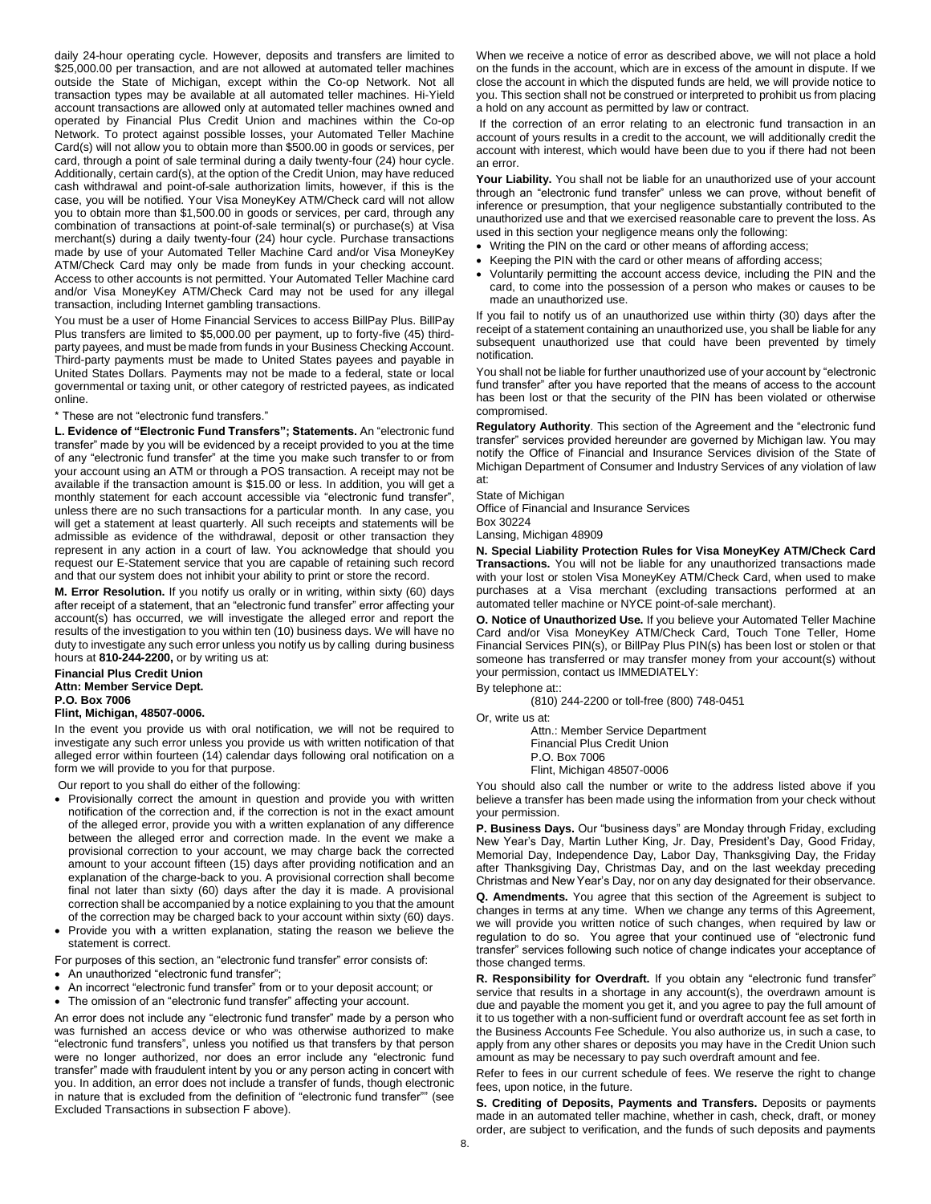daily 24-hour operating cycle. However, deposits and transfers are limited to \$25,000.00 per transaction, and are not allowed at automated teller machines outside the State of Michigan, except within the Co-op Network. Not all transaction types may be available at all automated teller machines. Hi-Yield account transactions are allowed only at automated teller machines owned and operated by Financial Plus Credit Union and machines within the Co-op Network. To protect against possible losses, your Automated Teller Machine Card(s) will not allow you to obtain more than \$500.00 in goods or services, per card, through a point of sale terminal during a daily twenty-four (24) hour cycle. Additionally, certain card(s), at the option of the Credit Union, may have reduced cash withdrawal and point-of-sale authorization limits, however, if this is the case, you will be notified. Your Visa MoneyKey ATM/Check card will not allow you to obtain more than \$1,500.00 in goods or services, per card, through any combination of transactions at point-of-sale terminal(s) or purchase(s) at Visa merchant(s) during a daily twenty-four (24) hour cycle. Purchase transactions made by use of your Automated Teller Machine Card and/or Visa MoneyKey ATM/Check Card may only be made from funds in your checking account. Access to other accounts is not permitted. Your Automated Teller Machine card and/or Visa MoneyKey ATM/Check Card may not be used for any illegal transaction, including Internet gambling transactions.

You must be a user of Home Financial Services to access BillPay Plus. BillPay Plus transfers are limited to \$5,000.00 per payment, up to forty-five (45) thirdparty payees, and must be made from funds in your Business Checking Account. Third-party payments must be made to United States payees and payable in United States Dollars. Payments may not be made to a federal, state or local governmental or taxing unit, or other category of restricted payees, as indicated online.

\* These are not "electronic fund transfers."

**L. Evidence of "Electronic Fund Transfers"; Statements.** An "electronic fund transfer" made by you will be evidenced by a receipt provided to you at the time of any "electronic fund transfer" at the time you make such transfer to or from your account using an ATM or through a POS transaction. A receipt may not be available if the transaction amount is \$15.00 or less. In addition, you will get a monthly statement for each account accessible via "electronic fund transfer", unless there are no such transactions for a particular month. In any case, you will get a statement at least quarterly. All such receipts and statements will be admissible as evidence of the withdrawal, deposit or other transaction they represent in any action in a court of law. You acknowledge that should you request our E-Statement service that you are capable of retaining such record and that our system does not inhibit your ability to print or store the record.

**M. Error Resolution.** If you notify us orally or in writing, within sixty (60) days after receipt of a statement, that an "electronic fund transfer" error affecting your account(s) has occurred, we will investigate the alleged error and report the results of the investigation to you within ten (10) business days. We will have no duty to investigate any such error unless you notify us by calling during business hours at **810-244-2200,** or by writing us at:

**Financial Plus Credit Union Attn: Member Service Dept. P.O. Box 7006**

# **Flint, Michigan, 48507-0006.**

In the event you provide us with oral notification, we will not be required to investigate any such error unless you provide us with written notification of that alleged error within fourteen (14) calendar days following oral notification on a form we will provide to you for that purpose.

Our report to you shall do either of the following:

- Provisionally correct the amount in question and provide you with written notification of the correction and, if the correction is not in the exact amount of the alleged error, provide you with a written explanation of any difference between the alleged error and correction made. In the event we make a provisional correction to your account, we may charge back the corrected amount to your account fifteen (15) days after providing notification and an explanation of the charge-back to you. A provisional correction shall become final not later than sixty (60) days after the day it is made. A provisional correction shall be accompanied by a notice explaining to you that the amount of the correction may be charged back to your account within sixty (60) days.
- Provide you with a written explanation, stating the reason we believe the statement is correct.

For purposes of this section, an "electronic fund transfer" error consists of:

An unauthorized "electronic fund transfer";

An incorrect "electronic fund transfer" from or to your deposit account; or

The omission of an "electronic fund transfer" affecting your account.

An error does not include any "electronic fund transfer" made by a person who was furnished an access device or who was otherwise authorized to make "electronic fund transfers", unless you notified us that transfers by that person were no longer authorized, nor does an error include any "electronic fund transfer" made with fraudulent intent by you or any person acting in concert with you. In addition, an error does not include a transfer of funds, though electronic in nature that is excluded from the definition of "electronic fund transfer"" (see Excluded Transactions in subsection F above).

When we receive a notice of error as described above, we will not place a hold on the funds in the account, which are in excess of the amount in dispute. If we close the account in which the disputed funds are held, we will provide notice to you. This section shall not be construed or interpreted to prohibit us from placing a hold on any account as permitted by law or contract.

If the correction of an error relating to an electronic fund transaction in an account of yours results in a credit to the account, we will additionally credit the account with interest, which would have been due to you if there had not been an error.

Your Liability. You shall not be liable for an unauthorized use of your account through an "electronic fund transfer" unless we can prove, without benefit of inference or presumption, that your negligence substantially contributed to the unauthorized use and that we exercised reasonable care to prevent the loss. As used in this section your negligence means only the following:

- Writing the PIN on the card or other means of affording access;
- Keeping the PIN with the card or other means of affording access;
- Voluntarily permitting the account access device, including the PIN and the card, to come into the possession of a person who makes or causes to be made an unauthorized use.

If you fail to notify us of an unauthorized use within thirty (30) days after the receipt of a statement containing an unauthorized use, you shall be liable for any subsequent unauthorized use that could have been prevented by timely notification.

You shall not be liable for further unauthorized use of your account by "electronic fund transfer" after you have reported that the means of access to the account has been lost or that the security of the PIN has been violated or otherwise compromised.

**Regulatory Authority**. This section of the Agreement and the "electronic fund transfer" services provided hereunder are governed by Michigan law. You may notify the Office of Financial and Insurance Services division of the State of Michigan Department of Consumer and Industry Services of any violation of law at:

State of Michigan

Office of Financial and Insurance Services Box 30224

Lansing, Michigan 48909

**N. Special Liability Protection Rules for Visa MoneyKey ATM/Check Card Transactions.** You will not be liable for any unauthorized transactions made with your lost or stolen Visa MoneyKey ATM/Check Card, when used to make purchases at a Visa merchant (excluding transactions performed at an automated teller machine or NYCE point-of-sale merchant).

**O. Notice of Unauthorized Use.** If you believe your Automated Teller Machine Card and/or Visa MoneyKey ATM/Check Card, Touch Tone Teller, Home Financial Services PIN(s), or BillPay Plus PIN(s) has been lost or stolen or that someone has transferred or may transfer money from your account(s) without your permission, contact us IMMEDIATELY:

By telephone at::

(810) 244-2200 or toll-free (800) 748-0451

Or, write us at:

Attn.: Member Service Department Financial Plus Credit Union P.O. Box 7006 Flint, Michigan 48507-0006

You should also call the number or write to the address listed above if you believe a transfer has been made using the information from your check without your permission.

**P. Business Days.** Our "business days" are Monday through Friday, excluding New Year's Day, Martin Luther King, Jr. Day, President's Day, Good Friday, Memorial Day, Independence Day, Labor Day, Thanksgiving Day, the Friday after Thanksgiving Day, Christmas Day, and on the last weekday preceding Christmas and New Year's Day, nor on any day designated for their observance.

**Q. Amendments.** You agree that this section of the Agreement is subject to changes in terms at any time. When we change any terms of this Agreement, we will provide you written notice of such changes, when required by law or regulation to do so. You agree that your continued use of "electronic fund transfer" services following such notice of change indicates your acceptance of those changed terms.

**R. Responsibility for Overdraft.** If you obtain any "electronic fund transfer" service that results in a shortage in any account(s), the overdrawn amount is due and payable the moment you get it, and you agree to pay the full amount of it to us together with a non-sufficient fund or overdraft account fee as set forth in the Business Accounts Fee Schedule. You also authorize us, in such a case, to apply from any other shares or deposits you may have in the Credit Union such amount as may be necessary to pay such overdraft amount and fee.

Refer to fees in our current schedule of fees. We reserve the right to change fees, upon notice, in the future.

**S. Crediting of Deposits, Payments and Transfers.** Deposits or payments made in an automated teller machine, whether in cash, check, draft, or money order, are subject to verification, and the funds of such deposits and payments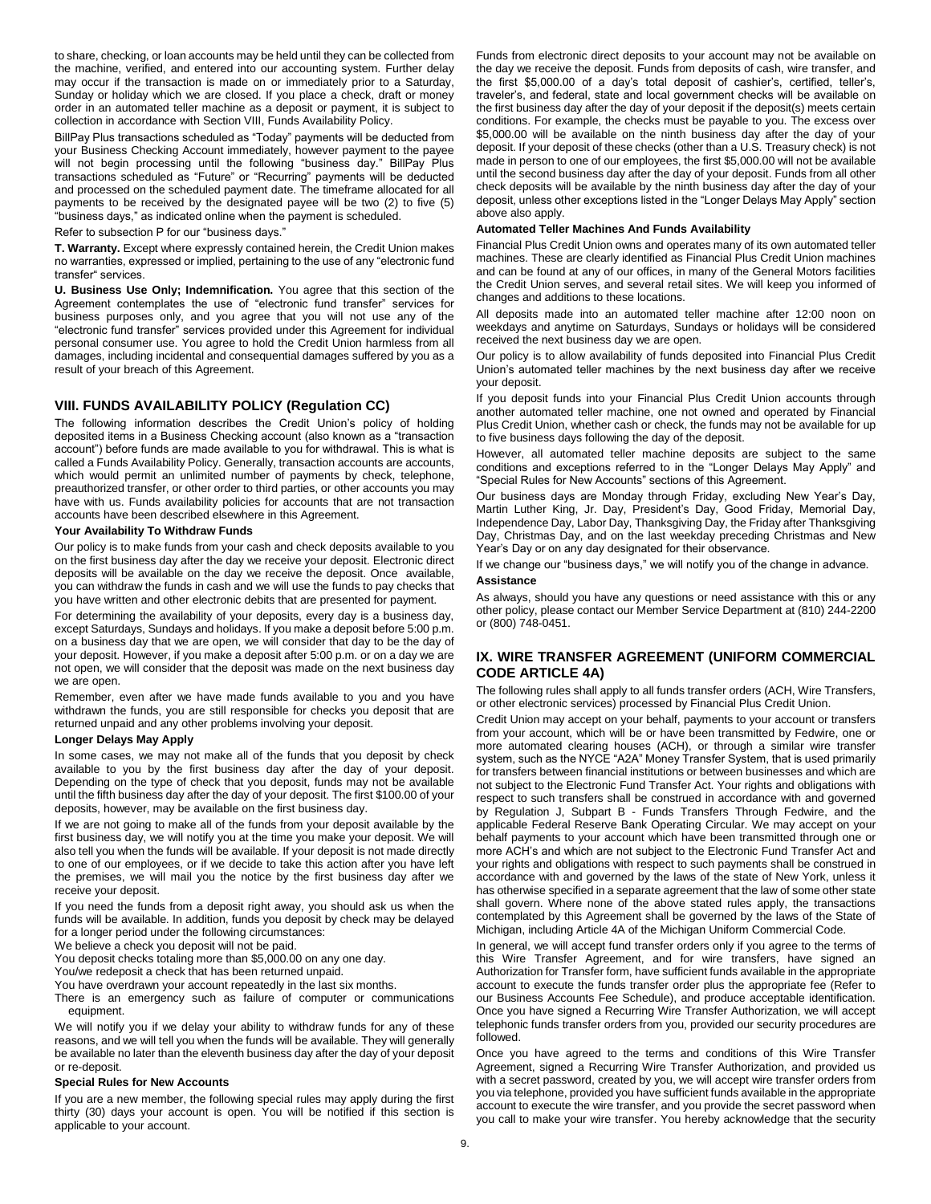to share, checking, or loan accounts may be held until they can be collected from the machine, verified, and entered into our accounting system. Further delay may occur if the transaction is made on or immediately prior to a Saturday, Sunday or holiday which we are closed. If you place a check, draft or money order in an automated teller machine as a deposit or payment, it is subject to collection in accordance with Section VIII, Funds Availability Policy.

BillPay Plus transactions scheduled as "Today" payments will be deducted from your Business Checking Account immediately, however payment to the payee will not begin processing until the following "business day." BillPay Plus transactions scheduled as "Future" or "Recurring" payments will be deducted and processed on the scheduled payment date. The timeframe allocated for all payments to be received by the designated payee will be two (2) to five (5) "business days," as indicated online when the payment is scheduled.

Refer to subsection P for our "business days."

**T. Warranty.** Except where expressly contained herein, the Credit Union makes no warranties, expressed or implied, pertaining to the use of any "electronic fund transfer" services.

**U. Business Use Only; Indemnification.** You agree that this section of the Agreement contemplates the use of "electronic fund transfer" services for business purposes only, and you agree that you will not use any of the "electronic fund transfer" services provided under this Agreement for individual personal consumer use. You agree to hold the Credit Union harmless from all damages, including incidental and consequential damages suffered by you as a result of your breach of this Agreement.

# **VIII. FUNDS AVAILABILITY POLICY (Regulation CC)**

The following information describes the Credit Union's policy of holding deposited items in a Business Checking account (also known as a "transaction account") before funds are made available to you for withdrawal. This is what is called a Funds Availability Policy. Generally, transaction accounts are accounts, which would permit an unlimited number of payments by check, telephone, preauthorized transfer, or other order to third parties, or other accounts you may have with us. Funds availability policies for accounts that are not transaction accounts have been described elsewhere in this Agreement.

# **Your Availability To Withdraw Funds**

Our policy is to make funds from your cash and check deposits available to you on the first business day after the day we receive your deposit. Electronic direct deposits will be available on the day we receive the deposit. Once available, you can withdraw the funds in cash and we will use the funds to pay checks that you have written and other electronic debits that are presented for payment.

For determining the availability of your deposits, every day is a business day, except Saturdays, Sundays and holidays. If you make a deposit before 5:00 p.m. on a business day that we are open, we will consider that day to be the day of your deposit. However, if you make a deposit after 5:00 p.m. or on a day we are not open, we will consider that the deposit was made on the next business day we are open.

Remember, even after we have made funds available to you and you have withdrawn the funds, you are still responsible for checks you deposit that are returned unpaid and any other problems involving your deposit.

#### **Longer Delays May Apply**

In some cases, we may not make all of the funds that you deposit by check available to you by the first business day after the day of your deposit. Depending on the type of check that you deposit, funds may not be available until the fifth business day after the day of your deposit. The first \$100.00 of your deposits, however, may be available on the first business day.

If we are not going to make all of the funds from your deposit available by the first business day, we will notify you at the time you make your deposit. We will also tell you when the funds will be available. If your deposit is not made directly to one of our employees, or if we decide to take this action after you have left the premises, we will mail you the notice by the first business day after we receive your deposit.

If you need the funds from a deposit right away, you should ask us when the funds will be available. In addition, funds you deposit by check may be delayed for a longer period under the following circumstances:

We believe a check you deposit will not be paid.

You deposit checks totaling more than \$5,000.00 on any one day.

You/we redeposit a check that has been returned unpaid.

You have overdrawn your account repeatedly in the last six months.

There is an emergency such as failure of computer or communications equipment.

We will notify you if we delay your ability to withdraw funds for any of these reasons, and we will tell you when the funds will be available. They will generally be available no later than the eleventh business day after the day of your deposit or re-deposit.

#### **Special Rules for New Accounts**

If you are a new member, the following special rules may apply during the first thirty (30) days your account is open. You will be notified if this section is applicable to your account.

Funds from electronic direct deposits to your account may not be available on the day we receive the deposit. Funds from deposits of cash, wire transfer, and the first \$5,000.00 of a day's total deposit of cashier's, certified, teller's, traveler's, and federal, state and local government checks will be available on the first business day after the day of your deposit if the deposit(s) meets certain conditions. For example, the checks must be payable to you. The excess over \$5,000.00 will be available on the ninth business day after the day of your deposit. If your deposit of these checks (other than a U.S. Treasury check) is not made in person to one of our employees, the first \$5,000.00 will not be available until the second business day after the day of your deposit. Funds from all other check deposits will be available by the ninth business day after the day of your deposit, unless other exceptions listed in the "Longer Delays May Apply" section above also apply.

#### **Automated Teller Machines And Funds Availability**

Financial Plus Credit Union owns and operates many of its own automated teller machines. These are clearly identified as Financial Plus Credit Union machines and can be found at any of our offices, in many of the General Motors facilities the Credit Union serves, and several retail sites. We will keep you informed of changes and additions to these locations.

All deposits made into an automated teller machine after 12:00 noon on weekdays and anytime on Saturdays, Sundays or holidays will be considered received the next business day we are open.

Our policy is to allow availability of funds deposited into Financial Plus Credit Union's automated teller machines by the next business day after we receive your deposit.

If you deposit funds into your Financial Plus Credit Union accounts through another automated teller machine, one not owned and operated by Financial Plus Credit Union, whether cash or check, the funds may not be available for up to five business days following the day of the deposit.

However, all automated teller machine deposits are subject to the same conditions and exceptions referred to in the "Longer Delays May Apply" and "Special Rules for New Accounts" sections of this Agreement.

Our business days are Monday through Friday, excluding New Year's Day, Martin Luther King, Jr. Day, President's Day, Good Friday, Memorial Day, Independence Day, Labor Day, Thanksgiving Day, the Friday after Thanksgiving Day, Christmas Day, and on the last weekday preceding Christmas and New Year's Day or on any day designated for their observance.

If we change our "business days," we will notify you of the change in advance. **Assistance**

#### As always, should you have any questions or need assistance with this or any other policy, please contact our Member Service Department at (810) 244-2200 or (800) 748-0451.

# **IX. WIRE TRANSFER AGREEMENT (UNIFORM COMMERCIAL CODE ARTICLE 4A)**

The following rules shall apply to all funds transfer orders (ACH, Wire Transfers, or other electronic services) processed by Financial Plus Credit Union.

Credit Union may accept on your behalf, payments to your account or transfers from your account, which will be or have been transmitted by Fedwire, one or more automated clearing houses (ACH), or through a similar wire transfer system, such as the NYCE "A2A" Money Transfer System, that is used primarily for transfers between financial institutions or between businesses and which are not subject to the Electronic Fund Transfer Act. Your rights and obligations with respect to such transfers shall be construed in accordance with and governed by Regulation J, Subpart B - Funds Transfers Through Fedwire, and the applicable Federal Reserve Bank Operating Circular. We may accept on your behalf payments to your account which have been transmitted through one or more ACH's and which are not subject to the Electronic Fund Transfer Act and your rights and obligations with respect to such payments shall be construed in accordance with and governed by the laws of the state of New York, unless it has otherwise specified in a separate agreement that the law of some other state shall govern. Where none of the above stated rules apply, the transactions contemplated by this Agreement shall be governed by the laws of the State of Michigan, including Article 4A of the Michigan Uniform Commercial Code.

In general, we will accept fund transfer orders only if you agree to the terms of this Wire Transfer Agreement, and for wire transfers, have signed an Authorization for Transfer form, have sufficient funds available in the appropriate account to execute the funds transfer order plus the appropriate fee (Refer to our Business Accounts Fee Schedule), and produce acceptable identification. Once you have signed a Recurring Wire Transfer Authorization, we will accept telephonic funds transfer orders from you, provided our security procedures are followed.

Once you have agreed to the terms and conditions of this Wire Transfer Agreement, signed a Recurring Wire Transfer Authorization, and provided us with a secret password, created by you, we will accept wire transfer orders from you via telephone, provided you have sufficient funds available in the appropriate account to execute the wire transfer, and you provide the secret password when you call to make your wire transfer. You hereby acknowledge that the security